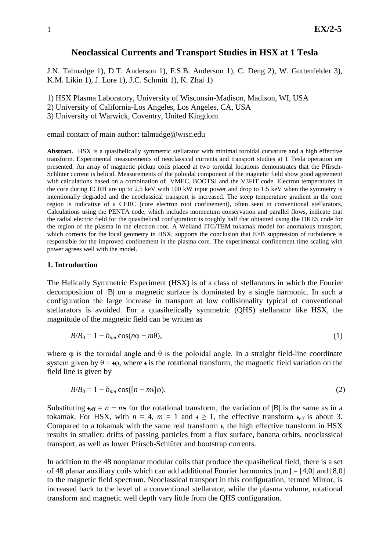# **Neoclassical Currents and Transport Studies in HSX at 1 Tesla**

J.N. Talmadge 1), D.T. Anderson 1), F.S.B. Anderson 1), C. Deng 2), W. Guttenfelder 3), K.M. Likin 1), J. Lore 1), J.C. Schmitt 1), K. Zhai 1)

1) HSX Plasma Laboratory, University of Wisconsin-Madison, Madison, WI, USA

2) University of California-Los Angeles, Los Angeles, CA, USA

3) University of Warwick, Coventry, United Kingdom

### email contact of main author: talmadge@wisc.edu

**Abstract.** HSX is a quasihelically symmetric stellarator with minimal toroidal curvature and a high effective transform. Experimental measurements of neoclassical currents and transport studies at 1 Tesla operation are presented. An array of magnetic pickup coils placed at two toroidal locations demonstrates that the Pfirsch-Schlüter current is helical. Measurements of the poloidal component of the magnetic field show good agreement with calculations based on a combination of VMEC, BOOTSJ and the V3FIT code. Electron temperatures in the core during ECRH are up to 2.5 keV with 100 kW input power and drop to 1.5 keV when the symmetry is intentionally degraded and the neoclassical transport is increased. The steep temperature gradient in the core region is indicative of a CERC (core electron root confinement), often seen in conventional stellarators. Calculations using the PENTA code, which includes momentum conservation and parallel flows, indicate that the radial electric field for the quasihelical configuration is roughly half that obtained using the DKES code for the region of the plasma in the electron root. A Weiland ITG/TEM tokamak model for anomalous transport, which corrects for the local geometry in HSX, supports the conclusion that E×B suppression of turbulence is responsible for the improved confinement in the plasma core. The experimental confinement time scaling with power agrees well with the model.

### **1. Introduction**

The Helically Symmetric Experiment (HSX) is of a class of stellarators in which the Fourier decomposition of |B| on a magnetic surface is dominated by a single harmonic. In such a configuration the large increase in transport at low collisionality typical of conventional stellarators is avoided. For a quasihelically symmetric (QHS) stellarator like HSX, the magnitude of the magnetic field can be written as

$$
B/B_0 = 1 - b_{nm} \cos(n\varphi - m\theta),\tag{1}
$$

where  $\varphi$  is the toroidal angle and  $\theta$  is the poloidal angle. In a straight field-line coordinate system given by  $\theta = \omega$ , where  $\epsilon$  is the rotational transform, the magnetic field variation on the field line is given by

$$
B/B_0 = 1 - b_{nm} \cos([n - m\cdot\,]\varphi). \tag{2}
$$

Substituting  $t_{\text{eff}} = n - m t$  for the rotational transform, the variation of |B| is the same as in a tokamak. For HSX, with  $n = 4$ ,  $m = 1$  and  $t \ge 1$ , the effective transform  $t_{\text{eff}}$  is about 3. Compared to a tokamak with the same real transform ι, the high effective transform in HSX results in smaller: drifts of passing particles from a flux surface, banana orbits, neoclassical transport, as well as lower Pfirsch-Schlüter and bootstrap currents.

In addition to the 48 nonplanar modular coils that produce the quasihelical field, there is a set of 48 planar auxiliary coils which can add additional Fourier harmonics  $[n,m] = [4,0]$  and  $[8,0]$ to the magnetic field spectrum. Neoclassical transport in this configuration, termed Mirror, is increased back to the level of a conventional stellarator, while the plasma volume, rotational transform and magnetic well depth vary little from the QHS configuration.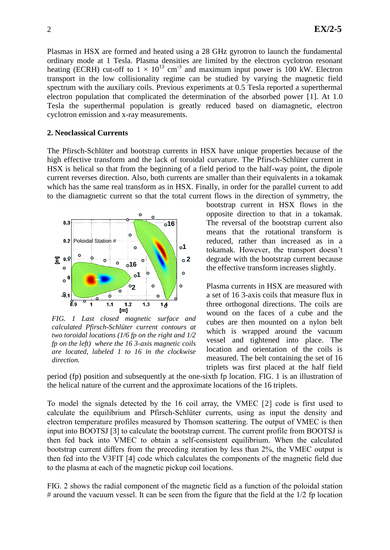Plasmas in HSX are formed and heated using a 28 GHz gyrotron to launch the fundamental ordinary mode at 1 Tesla. Plasma densities are limited by the electron cyclotron resonant heating (ECRH) cut-off to  $1 \times 10^{13}$  cm<sup>-3</sup> and maximum input power is 100 kW. Electron transport in the low collisionality regime can be studied by varying the magnetic field spectrum with the auxiliary coils. Previous experiments at 0.5 Tesla reported a superthermal electron population that complicated the determination of the absorbed power [1]. At 1.0 Tesla the superthermal population is greatly reduced based on diamagnetic, electron cyclotron emission and x-ray measurements.

### **2. Neoclassical Currents**

The Pfirsch-Schlüter and bootstrap currents in HSX have unique properties because of the high effective transform and the lack of toroidal curvature. The Pfirsch-Schlüter current in HSX is helical so that from the beginning of a field period to the half-way point, the dipole current reverses direction. Also, both currents are smaller than their equivalents in a tokamak which has the same real transform as in HSX. Finally, in order for the parallel current to add to the diamagnetic current so that the total current flows in the direction of symmetry, the



*FIG. 1 Last closed magnetic surface and calculated Pfirsch-Schlüter current contours at two toroidal locations (1/6 fp on the right and 1/2 fp on the left) where the 16 3-axis magnetic coils are located, labeled 1 to 16 in the clockwise direction.*

bootstrap current in HSX flows in the opposite direction to that in a tokamak. The reversal of the bootstrap current also means that the rotational transform is reduced, rather than increased as in a tokamak. However, the transport doesn't degrade with the bootstrap current because the effective transform increases slightly.

Plasma currents in HSX are measured with a set of 16 3-axis coils that measure flux in three orthogonal directions. The coils are wound on the faces of a cube and the cubes are then mounted on a nylon belt which is wrapped around the vacuum vessel and tightened into place. The location and orientation of the coils is measured. The belt containing the set of 16 triplets was first placed at the half field

period (fp) position and subsequently at the one-sixth fp location. FIG. 1 is an illustration of the helical nature of the current and the approximate locations of the 16 triplets.

To model the signals detected by the 16 coil array, the VMEC [2] code is first used to calculate the equilibrium and Pfirsch-Schlüter currents, using as input the density and electron temperature profiles measured by Thomson scattering. The output of VMEC is then input into BOOTSJ [3] to calculate the bootstrap current. The current profile from BOOTSJ is then fed back into VMEC to obtain a self-consistent equilibrium. When the calculated bootstrap current differs from the preceding iteration by less than 2%, the VMEC output is then fed into the V3FIT [4] code which calculates the components of the magnetic field due to the plasma at each of the magnetic pickup coil locations.

FIG. 2 shows the radial component of the magnetic field as a function of the poloidal station  $\#$  around the vacuum vessel. It can be seen from the figure that the field at the  $1/2$  fp location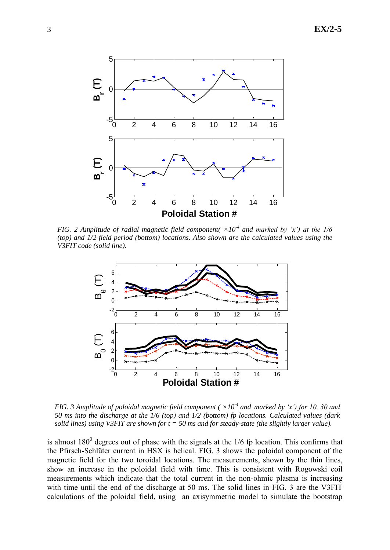

*FIG.* 2 Amplitude of radial magnetic field component( $\times 10^4$  and marked by 'x') at the 1/6 *(top) and 1/2 field period (bottom) locations. Also shown are the calculated values using the V3FIT code (solid line).*



*FIG.* 3 Amplitude of poloidal magnetic field component ( $\times 10^{-4}$  and marked by 'x') for 10, 30 and *50 ms into the discharge at the 1/6 (top) and 1/2 (bottom) fp locations. Calculated values (dark solid lines) using V3FIT are shown for t = 50 ms and for steady-state (the slightly larger value).*

is almost  $180^0$  degrees out of phase with the signals at the  $1/6$  fp location. This confirms that the Pfirsch-Schlüter current in HSX is helical. FIG. 3 shows the poloidal component of the magnetic field for the two toroidal locations. The measurements, shown by the thin lines, show an increase in the poloidal field with time. This is consistent with Rogowski coil measurements which indicate that the total current in the non-ohmic plasma is increasing with time until the end of the discharge at 50 ms. The solid lines in FIG. 3 are the V3FIT calculations of the poloidal field, using an axisymmetric model to simulate the bootstrap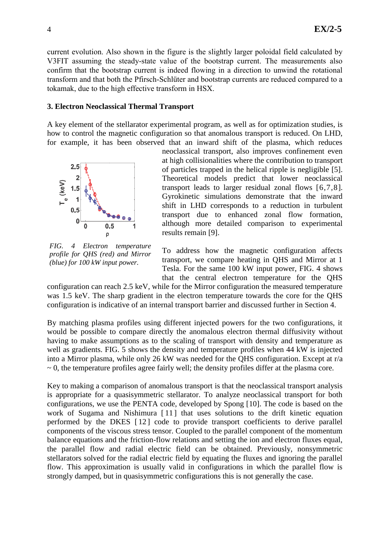current evolution. Also shown in the figure is the slightly larger poloidal field calculated by V3FIT assuming the steady-state value of the bootstrap current. The measurements also confirm that the bootstrap current is indeed flowing in a direction to unwind the rotational transform and that both the Pfirsch-Schlüter and bootstrap currents are reduced compared to a tokamak, due to the high effective transform in HSX.

## **3. Electron Neoclassical Thermal Transport**

A key element of the stellarator experimental program, as well as for optimization studies, is how to control the magnetic configuration so that anomalous transport is reduced. On LHD, for example, it has been observed that an inward shift of the plasma, which reduces



<span id="page-3-0"></span>*FIG. 4 Electron temperature profile for QHS (red) and Mirror (blue) for 100 kW input power.*

neoclassical transport, also improves confinement even at high collisionalities where the contribution to transport of particles trapped in the helical ripple is negligible [5]. Theoretical models predict that lower neoclassical transport leads to larger residual zonal flows [6,7,8]. Gyrokinetic simulations demonstrate that the inward shift in LHD corresponds to a reduction in turbulent transport due to enhanced zonal flow formation, although more detailed comparison to experimental results remain [9].

To address how the magnetic configuration affects transport, we compare heating in QHS and Mirror at 1 Tesla. For the same 100 kW input power, FIG. 4 shows that the central electron temperature for the QHS

configuration can reach 2.5 keV, while for the Mirror configuration the measured temperature was 1.5 keV. The sharp gradient in the electron temperature towards the core for the QHS configuration is indicative of an internal transport barrier and discussed further in Section 4.

By matching plasma profiles using different injected powers for the two configurations, it would be possible to compare directly the anomalous electron thermal diffusivity without having to make assumptions as to the scaling of transport with density and temperature as well as gradients. FIG. 5 shows the density and temperature profiles when 44 kW is injected into a Mirror plasma, while only 26 kW was needed for the QHS configuration. Except at r/a  $\sim$  0, the temperature profiles agree fairly well; the density profiles differ at the plasma core.

Key to making a comparison of anomalous transport is that the neoclassical transport analysis is appropriate for a quasisymmetric stellarator. To analyze neoclassical transport for both configurations, we use the PENTA code, developed by Spong [10]. The code is based on the work of Sugama and Nishimura [11] that uses solutions to the drift kinetic equation performed by the DKES [12] code to provide transport coefficients to derive parallel components of the viscous stress tensor. Coupled to the parallel component of the momentum balance equations and the friction-flow relations and setting the ion and electron fluxes equal, the parallel flow and radial electric field can be obtained. Previously, nonsymmetric stellarators solved for the radial electric field by equating the fluxes and ignoring the parallel flow. This approximation is usually valid in configurations in which the parallel flow is strongly damped, but in quasisymmetric configurations this is not generally the case.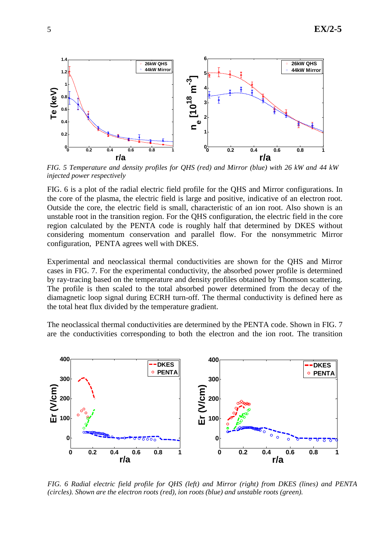

*FIG. 5 Temperature and density profiles for QHS (red) and Mirror (blue) with 26 kW and 44 kW injected power respectively*

FIG. 6 is a plot of the radial electric field profile for the QHS and Mirror configurations. In the core of the plasma, the electric field is large and positive, indicative of an electron root. Outside the core, the electric field is small, characteristic of an ion root. Also shown is an unstable root in the transition region. For the QHS configuration, the electric field in the core region calculated by the PENTA code is roughly half that determined by DKES without considering momentum conservation and parallel flow. For the nonsymmetric Mirror configuration, PENTA agrees well with DKES.

Experimental and neoclassical thermal conductivities are shown for the QHS and Mirror cases in FIG. 7. For the experimental conductivity, the absorbed power profile is determined by ray-tracing based on the temperature and density profiles obtained by Thomson scattering. The profile is then scaled to the total absorbed power determined from the decay of the diamagnetic loop signal during ECRH turn-off. The thermal conductivity is defined here as the total heat flux divided by the temperature gradient.

The neoclassical thermal conductivities are determined by the PENTA code. Shown in FIG. 7 are the conductivities corresponding to both the electron and the ion root. The transition



*FIG. 6 Radial electric field profile for QHS (left) and Mirror (right) from DKES (lines) and PENTA (circles). Shown are the electron roots (red), ion roots (blue) and unstable roots (green).*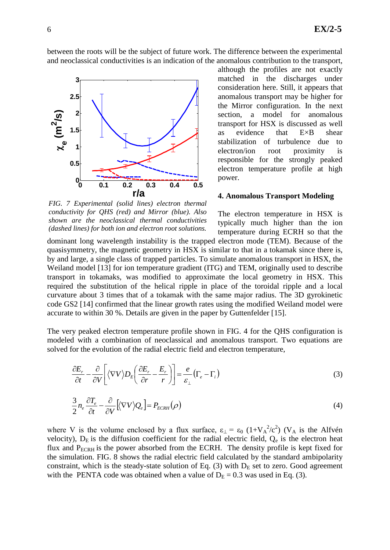between the roots will be the subject of future work. The difference between the experimental and neoclassical conductivities is an indication of the anomalous contribution to the transport,



although the profiles are not exactly matched in the discharges under consideration here. Still, it appears that anomalous transport may be higher for the Mirror configuration. In the next section, a model for anomalous transport for HSX is discussed as well as evidence that E×B shear stabilization of turbulence due to electron/ion root proximity is responsible for the strongly peaked electron temperature profile at high power.

### **4. Anomalous Transport Modeling**

*FIG. 7 Experimental (solid lines) electron thermal conductivity for QHS (red) and Mirror (blue). Also shown are the neoclassical thermal conductivities (dashed lines) for both ion and electron root solutions.*

The electron temperature in HSX is typically much higher than the ion temperature during ECRH so that the

dominant long wavelength instability is the trapped electron mode (TEM). Because of the quasisymmetry, the magnetic geometry in HSX is similar to that in a tokamak since there is, by and large, a single class of trapped particles. To simulate anomalous transport in HSX, the Weiland model [13] for ion temperature gradient (ITG) and TEM, originally used to describe transport in tokamaks, was modified to approximate the local geometry in HSX. This required the substitution of the helical ripple in place of the toroidal ripple and a local curvature about 3 times that of a tokamak with the same major radius. The 3D gyrokinetic code GS2 [14] confirmed that the linear growth rates using the modified Weiland model were accurate to within 30 %. Details are given in the paper by Guttenfelder [15].

The very peaked electron temperature profile shown in [FIG. 4](#page-3-0) for the QHS configuration is modeled with a combination of neoclassical and anomalous transport. Two equations are solved for the evolution of the radial electric field and electron temperature,

$$
\frac{\partial E_r}{\partial t} - \frac{\partial}{\partial V} \left[ \langle \nabla V \rangle D_E \left( \frac{\partial E_r}{\partial r} - \frac{E_r}{r} \right) \right] = \frac{e}{\varepsilon_\perp} \left( \Gamma_e - \Gamma_i \right) \tag{3}
$$

$$
\frac{3}{2}n_e \frac{\partial T_e}{\partial t} - \frac{\partial}{\partial V} \left[ \langle \nabla V \rangle Q_e \right] = P_{ECRH}(\rho)
$$
\n(4)

where V is the volume enclosed by a flux surface,  $\varepsilon_{\perp} = \varepsilon_0 (1 + V_A^2/c^2)$  (V<sub>A</sub> is the Alfvén velocity),  $D_E$  is the diffusion coefficient for the radial electric field,  $Q_e$  is the electron heat flux and  $P_{ECRH}$  is the power absorbed from the ECRH. The density profile is kept fixed for the simulation. FIG. 8 shows the radial electric field calculated by the standard ambipolarity constraint, which is the steady-state solution of Eq.  $(3)$  with  $D<sub>E</sub>$  set to zero. Good agreement with the PENTA code was obtained when a value of  $D_E = 0.3$  was used in Eq. (3).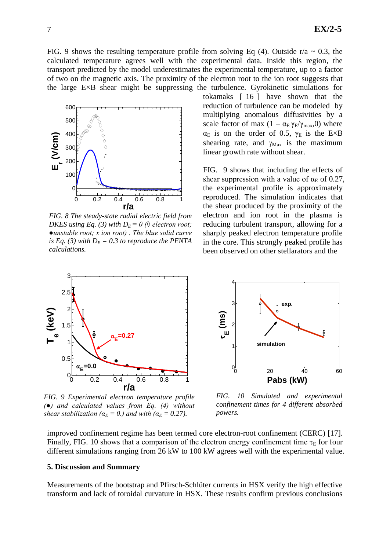FIG. 9 shows the resulting temperature profile from solving Eq (4). Outside r/a  $\sim$  0.3, the calculated temperature agrees well with the experimental data. Inside this region, the transport predicted by the model underestimates the experimental temperature, up to a factor of two on the magnetic axis. The proximity of the electron root to the ion root suggests that the large E×B shear might be suppressing the turbulence. Gyrokinetic simulations for



*FIG. 8 The steady-state radial electric field from DKES using Eq. (3) with D<sub>E</sub> = 0 (* $\Diamond$  *electron root; ●unstable root; x ion root) . The blue solid curve is Eq. (3) with*  $D_E = 0.3$  *to reproduce the PENTA calculations.*

tokamaks [ 16 ] have shown that the reduction of turbulence can be modeled by multiplying anomalous diffusivities by a scale factor of max  $(1 - \alpha_E \gamma_E / \gamma_{max}, 0)$  where  $\alpha_E$  is on the order of 0.5,  $\gamma_E$  is the E×B shearing rate, and  $\gamma_{\text{Max}}$  is the maximum linear growth rate without shear.

[FIG.](#page-6-0) 9 shows that including the effects of shear suppression with a value of  $\alpha_E$  of 0.27, the experimental profile is approximately reproduced. The simulation indicates that the shear produced by the proximity of the electron and ion root in the plasma is reducing turbulent transport, allowing for a sharply peaked electron temperature profile in the core. This strongly peaked profile has been observed on other stellarators and the



<span id="page-6-0"></span>*FIG. 9 Experimental electron temperature profile (●) and calculated values from Eq. (4) without shear stabilization (* $\alpha_E = 0$ *.) and with (* $\alpha_E = 0.27$ *).* 



*FIG. 10 Simulated and experimental confinement times for 4 different absorbed powers.*

improved confinement regime has been termed core electron-root confinement (CERC) [17]. Finally, FIG. 10 shows that a comparison of the electron energy confinement time  $\tau_E$  for four different simulations ranging from 26 kW to 100 kW agrees well with the experimental value.

### **5. Discussion and Summary**

Measurements of the bootstrap and Pfirsch-Schlüter currents in HSX verify the high effective transform and lack of toroidal curvature in HSX. These results confirm previous conclusions